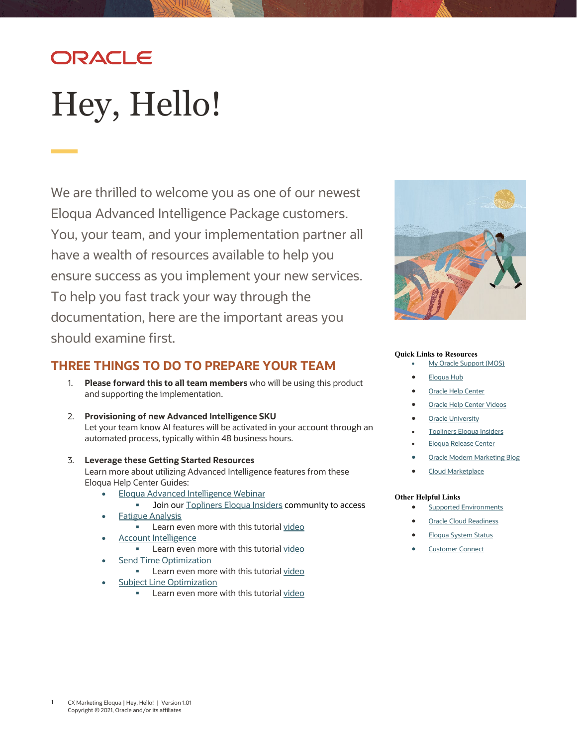# ORACLE

# <span id="page-0-0"></span>Hey, Hello!

We are thrilled to welcome you as one of our newest Eloqua Advanced Intelligence Package customers. You, your team, and your implementation partner all have a wealth of resources available to help you ensure success as you implement your new services. To help you fast track your way through the documentation, here are the important areas you should examine first.

### **THREE THINGS TO DO TO PREPARE YOUR TEAM**

- 1. **Please forward this to all team members** who will be using this product and supporting the implementation.
- 2. **Provisioning of new Advanced Intelligence SKU**  Let your team know AI features will be activated in your account through an automated process, typically within 48 business hours.
- 3. **Leverage these Getting Started Resources**

Learn more about utilizing Advanced Intelligence features from these Eloqua Help Center Guides:

- [Eloqua Advanced Intelligence Webinar](https://community.oracle.com/topliners/discussion/4476432/eloquas-advanced-intelligence-sku)
	- **Join ou[r Topliners Eloqua Insiders](#page-1-0) community to access**
- [Fatigue Analysis](https://docs.oracle.com/en/cloud/saas/marketing/eloqua-user/Help/AdvancedIntelligence/FatigueAnalysis/FatigueAnalysis_Overview.htm)
	- **Learn even more with this tutorial [video](https://www.youtube.com/watch?v=BfSI7H1D_oM&list=PLw7GyH-Hj8cMESJgSF21PSu-fpAOH-DVx&index=1)**
- [Account Intelligence](https://docs.oracle.com/en/cloud/saas/marketing/eloqua-user/Help/AdvancedIntelligence/AccountIntelligence/AccountIntelligenceOverview.htm)
	- Learn even more with this tutorial [video](https://www.youtube.com/watch?v=Mt81Opi7h1U&list=PLw7GyH-Hj8cMESJgSF21PSu-fpAOH-DVx&index=2)
- [Send Time Optimization](https://docs.oracle.com/en/cloud/saas/marketing/eloqua-user/Help/AdvancedIntelligence/SendTimeOptimization/STO_SendTimeOptimizationOverview.htm)
	- Learn even more with this tutorial [video](https://www.youtube.com/watch?v=ifXHJQXTVRQ&list=PLw7GyH-Hj8cMESJgSF21PSu-fpAOH-DVx&index=3)
- [Subject Line Optimization](https://docs.oracle.com/en/cloud/saas/marketing/eloqua-user/Help/AdvancedIntelligence/SubjectLineOptimization/SubjectLineOptimization_Overview.htm)
	- **Learn even more with this tutorial [video](https://www.youtube.com/watch?v=GDhAh9-8-Vc&list=PLw7GyH-Hj8cMIbm1DQ4P5h60nKDA00f3V)**



#### **Quick Links to Resources**

- [My Oracle Support \(MOS\)](https://support.oracle.com/)
- [Eloqua Hub](https://go.oracle.com/eloquahub)
- **[Oracle Help Center](https://docs.oracle.com/en/cloud/saas/marketing/eloqua.html)**
- **[Oracle Help Center Videos](https://www.youtube.com/channel/UCZwotmMjrpd4I8DUaS5TVGA)**
- **[Oracle University](https://learn.oracle.com/ols/home/37002#filtersGroup1=&filtersGroup2=&filtersGroup3=&filtersGroup4=&filtersGroup5=&filtersGroup6=&filtersGroup7=&filtersSearch=)**
- [Topliners Eloqua Insiders](https://community.oracle.com/topliners/group/1049-eloqua-insiders)
- [Eloqua Release Center](https://community.oracle.com/topliners/discussion/4470014/oracle-eloqua-release-center)
- [Oracle Modern Marketing Blog](https://blogs.oracle.com/marketingcloud/)
- [Cloud Marketplace](https://cloudmarketplace.oracle.com/marketplace/product/marketing)

#### **Other Helpful Links**

- **[Supported Environments](https://docs.oracle.com/en/cloud/saas/marketing/eloqua-user/Help/General/CertifiedAndSupportedEnvironments.htm)**
- **[Oracle Cloud Readiness](https://www.oracle.com/webfolder/technetwork/tutorials/tutorial/readiness/offering.html?offering=marketing-eloqua-20)**
- [Eloqua System Status](https://community.oracle.com/topliners/categories/eloqua-system-status)
- **[Customer Connect](https://community.oracle.com/customerconnect/)**